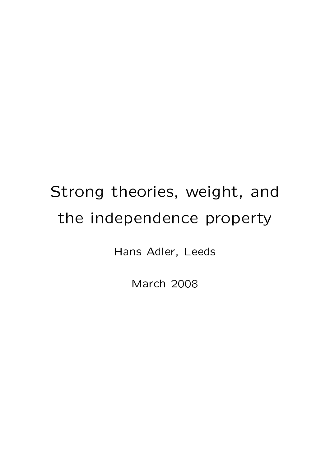# Strong theories, weight, and the independence property

Hans Adler, Leeds

March 2008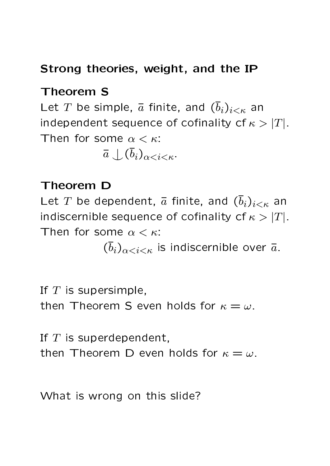# Strong theories, weight, and the IP

# Theorem S

Let T be simple,  $\bar{a}$  finite, and  $(\bar{b}_i)_{i \leq \kappa}$  an independent sequence of cofinality cf  $\kappa > |T|$ . Then for some  $\alpha < \kappa$ :

 $\bar{a} \bigcup (\bar{b}_i)_{\alpha < i < \kappa}$ .

#### Theorem D

Let T be dependent,  $\bar{a}$  finite, and  $(\bar{b}_i)_{i \leq \kappa}$  an indiscernible sequence of cofinality cf  $\kappa > |T|$ . Then for some  $\alpha < \kappa$ :

 $(\bar{b}_i)_{\alpha < i < \kappa}$  is indiscernible over  $\bar{a}$ .

If  $T$  is supersimple,

then Theorem S even holds for  $\kappa = \omega$ .

If  $T$  is superdependent,

then Theorem D even holds for  $\kappa = \omega$ .

What is wrong on this slide?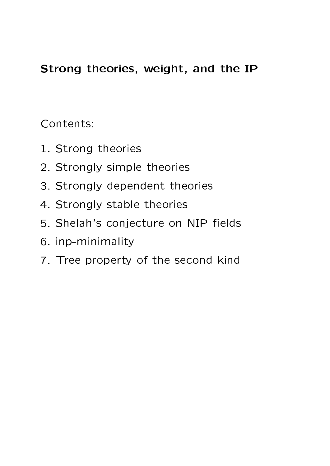# Strong theories, weight, and the IP

Contents:

- 1. Strong theories
- 2. Strongly simple theories
- 3. Strongly dependent theories
- 4. Strongly stable theories
- 5. Shelah's conjecture on NIP fields
- 6. inp-minimality
- 7. Tree property of the second kind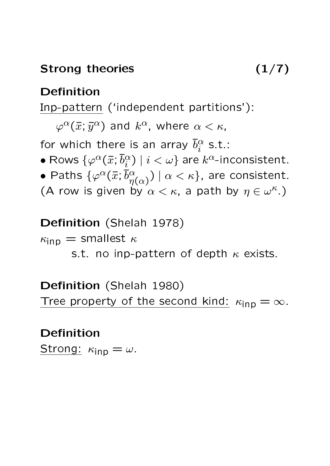#### Strong theories (1/7)

#### Definition

Inp-pattern ('independent partitions'):

 $\varphi^{\alpha}(\bar{x}; \bar{y}^{\alpha})$  and  $k^{\alpha}$ , where  $\alpha < \kappa$ ,

for which there is an array  $\bar{b}^{\alpha}_i$  $\frac{\alpha}{i}$  s.t.:

- $\bullet$  Rows  $\{ \varphi^{\alpha}(\bar{x}; \bar{b}^{\alpha}_i) \}$  $\binom{\alpha}{i} \mid i < \omega\}$  are  $k^{\alpha}$ -inconsistent.
- Paths  $\{\varphi^{\alpha}(\bar{x};\bar{b}^{\alpha}_{n})\}$  $\binom{\alpha}{\eta(\alpha)}$   $\mid$   $\alpha$   $<$   $\kappa\},$  are consistent.
- (A row is given by  $\alpha < \kappa$ , a path by  $\eta \in \omega^{\kappa}$ .)

#### Definition (Shelah 1978)

 $\kappa_{\text{inp}} =$  smallest  $\kappa$ 

s.t. no inp-pattern of depth  $\kappa$  exists.

Definition (Shelah 1980) Tree property of the second kind:  $\kappa_{\text{inp}} = \infty$ .

# Definition

Strong:  $\kappa_{\mathsf{inp}} = \omega$ .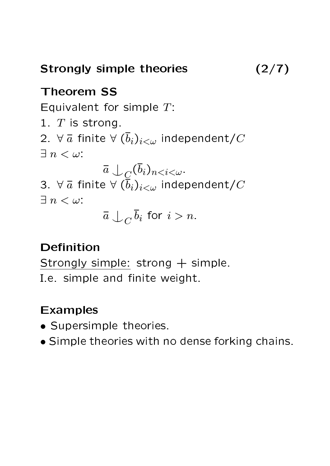Strongly simple theories (2/7)

#### Theorem SS

Equivalent for simple  $T$ :

1.  $T$  is strong. 2.  $\forall \bar{a}$  finite  $\forall (\bar{b}_i)_{i<\omega}$  independent/ $C$  $\exists n \lt \omega$ :

 $\bar{a}\downarrow_{\underline{C}}(\bar{b}_i)_{n < i < \omega}.$ 3.  $\forall \bar{a}$  finite  $\forall (\bar{b}_i)_{i<\omega}$  independent/C  $\exists n < \omega$ :

 $\bar{a} \bigcup_C \bar{b}_i$  for  $i > n$ .

# Definition

Strongly simple: strong  $+$  simple. I.e. simple and finite weight.

- Supersimple theories.
- Simple theories with no dense forking chains.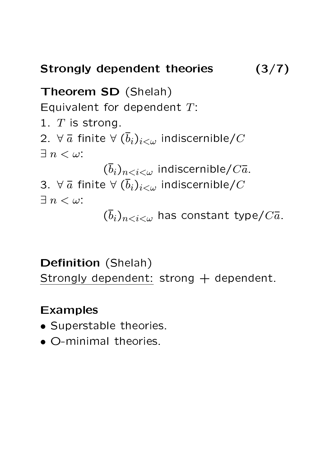# Strongly dependent theories (3/7)

Theorem SD (Shelah) Equivalent for dependent  $T$ : 1.  $T$  is strong. 2.  $\forall \bar{a}$  finite  $\forall (\bar{b}_i)_{i<\omega}$  indiscernible/ $C$  $\exists n \lt \omega$ :  $(\overline{b}_i)_{n indiscernible/ $C\overline{a}$ .$ 3.  $\forall \bar{a}$  finite  $\forall (\bar{b}_i)_{i<\omega}$  indiscernible/C  $\exists n < \omega$ :  $(\overline{b}_i)_{n has constant type/ $C\overline{a}$ .$ 

# Definition (Shelah) Strongly dependent: strong + dependent.

- Superstable theories.
- O-minimal theories.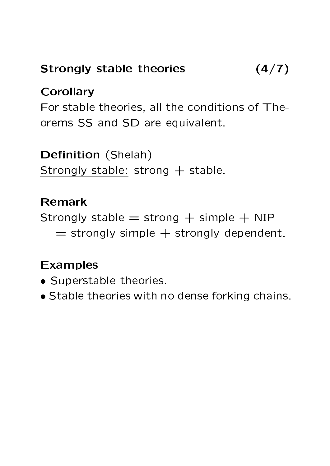# Strongly stable theories (4/7)

#### **Corollary**

For stable theories, all the conditions of Theorems SS and SD are equivalent.

#### Definition (Shelah)

Strongly stable: strong  $+$  stable.

#### Remark

Strongly stable  $=$  strong  $+$  simple  $+$  NIP  $=$  strongly simple  $+$  strongly dependent.

- Superstable theories.
- Stable theories with no dense forking chains.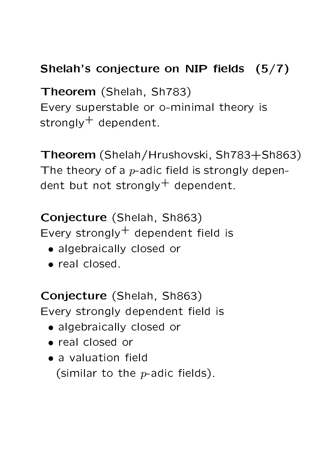# Shelah's conjecture on NIP fields  $(5/7)$

Theorem (Shelah, Sh783) Every superstable or o-minimal theory is strongly $^+$  dependent.

Theorem (Shelah/Hrushovski, Sh783+Sh863) The theory of a  $p$ -adic field is strongly dependent but not strongly $^+$  dependent.

Conjecture (Shelah, Sh863) Every strongly $^+$  dependent field is

- algebraically closed or
- real closed.

Conjecture (Shelah, Sh863) Every strongly dependent field is

- algebraically closed or
- real closed or
- $\bullet$  a valuation field (similar to the  $p$ -adic fields).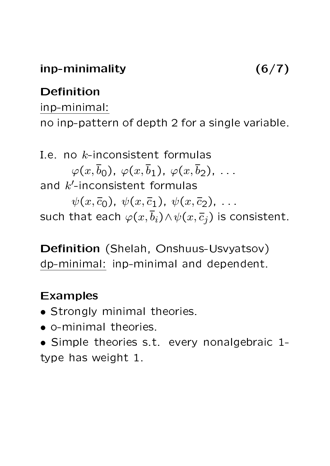# inp-minimality (6/7)

#### Definition

inp-minimal: no inp-pattern of depth 2 for a single variable.

I.e. no k-inconsistent formulas  $\varphi(x,\overline{b}_0), \varphi(x,\overline{b}_1), \varphi(x,\overline{b}_2), \ldots$ and  $k'$ -inconsistent formulas  $\psi(x,\overline{c}_0), \psi(x,\overline{c}_1), \psi(x,\overline{c}_2), \ldots$ such that each  $\varphi(x,\overline{b}_i)\wedge\psi(x,\overline{c}_i)$  is consistent.

Definition (Shelah, Onshuus-Usvyatsov) dp-minimal: inp-minimal and dependent.

- Strongly minimal theories.
- o-minimal theories.
- Simple theories s.t. every nonalgebraic 1 type has weight 1.